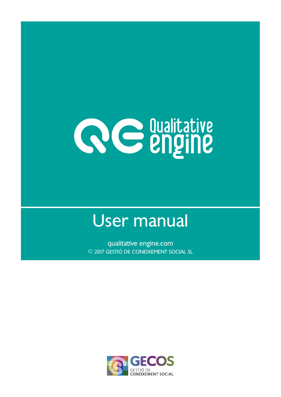

# User manual

qualitative engine.com © 2017 GESTIÓ DE CONEIXEMENT SOCIAL SL

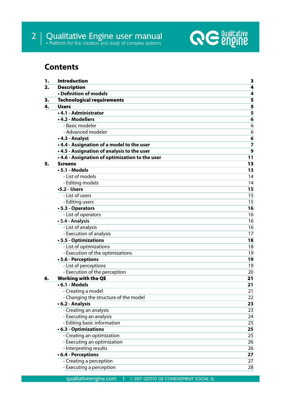

## **Contents**

| 1. | <b>Introduction</b>                            | 3              |
|----|------------------------------------------------|----------------|
| 2. | <b>Description</b>                             | 4              |
|    | • Definition of models                         | 4              |
| з. | <b>Technological requirements</b>              | 5              |
| 4. | <b>Users</b>                                   | 5              |
|    | • 4.1 - Administrator                          | 5              |
|    | • 4.2 - Modellers                              | 6              |
|    | - Basic modeler                                | 6              |
|    | - Advanced modeler                             | 6              |
|    | • 4.3 - Analyst                                | 6              |
|    | .4.4 - Assignation of a model to the user      | $\overline{7}$ |
|    | • 4.5 - Assignation of analysis to the user    | 9              |
|    | .4.6 - Assignation of optimization to the user | 11             |
| 5. | <b>Screens</b>                                 | 13             |
|    | $\cdot$ 5.1 - Models                           | 13             |
|    | - List of models                               | 14             |
|    | - Editing models                               | 14             |
|    | $-5.2 - Users$                                 | 15             |
|    | - List of users                                | 15             |
|    | - Editing users                                | 15             |
|    | • 5.3 - Operators                              | 16             |
|    | - List of operators                            | 16             |
|    | • 5.4 - Analysis                               | 16             |
|    | - List of analysis                             | 16             |
|    | - Execution of analysis                        | 17             |
|    | • 5.5 - Optimizations                          | 18             |
|    | - List of optimizations                        | 18             |
|    | - Execution of the optimizations               | 19             |
|    | • 5.6 - Perceptions                            | 19             |
|    | - List of perceptions                          | 19             |
|    | - Execution of the perception                  | 20             |
| 6. | <b>Working with the QE</b>                     | 21             |
|    | $\cdot$ 6.1 - Models                           | 21             |
|    | - Creating a model                             | 21             |
|    | - Changing the structure of the model          | 22             |
|    | • 6.2 - Analysis                               | 23             |
|    | - Creating an analysis                         | 23             |
|    | - Executing an analysis                        | 24             |
|    | - Editing basic information                    | 25             |
|    | • 6.3 - Optimizations                          | 25             |
|    | - Creating an optimization                     | 25             |
|    | - Executing an optimization                    | 26             |
|    | - Interpreting results                         | 26             |
|    | • 6.4 - Perceptions                            | 27             |
|    | - Creating a perception                        | 27             |
|    | - Executing a perception                       | 28             |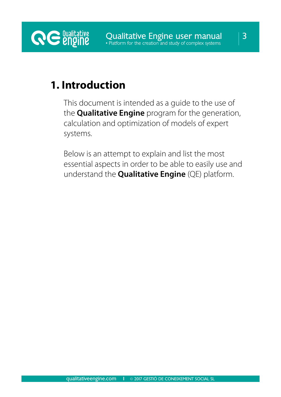## **1. Introduction**

**RE** *<u>engine</u>* 

This document is intended as a guide to the use of the **Qualitative Engine** program for the generation, calculation and optimization of models of expert systems.

Below is an attempt to explain and list the most essential aspects in order to be able to easily use and understand the **Qualitative Engine** (QE) platform.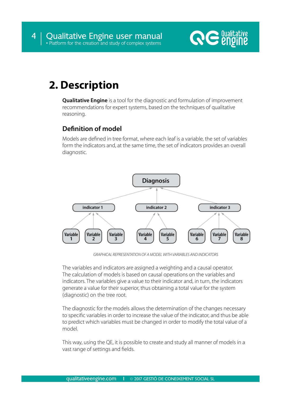

## **2. Description**

**Qualitative Engine** is a tool for the diagnostic and formulation of improvement recommendations for expert systems, based on the techniques of qualitative reasoning.

## **Definition of model**

Models are defined in tree format, where each leaf is a variable, the set of variables form the indicators and, at the same time, the set of indicators provides an overall diagnostic.



*GRAPHICAL REPRESENTATION OF A MODEL WITH VARIABLES AND INDICATORS*

The variables and indicators are assigned a weighting and a causal operator. The calculation of models is based on causal operations on the variables and indicators. The variables give a value to their indicator and, in turn, the indicators generate a value for their superior, thus obtaining a total value for the system (diagnostic) on the tree root.

The diagnostic for the models allows the determination of the changes necessary to specific variables in order to increase the value of the indicator, and thus be able to predict which variables must be changed in order to modify the total value of a model.

This way, using the QE, it is possible to create and study all manner of models in a vast range of settings and fields.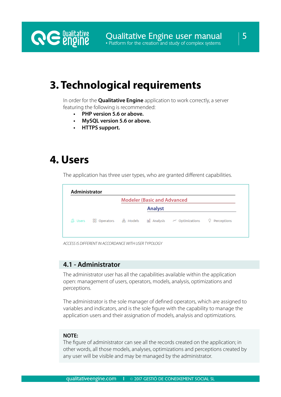## **3. Technological requirements**

In order for the **Qualitative Engine** application to work correctly, a server featuring the following is recommended:

- **• PHP version 5.6 or above.**
- **• MySQL version 5.6 or above.**
- **• HTTPS support.**

## **4. Users**

**RE** *<u>engine</u>* 

The application has three user types, who are granted different capabilities.

|                      |           | <b>Modeler (Basic and Advanced</b> |                             |                  |
|----------------------|-----------|------------------------------------|-----------------------------|------------------|
|                      |           | <b>Analyst</b>                     |                             |                  |
| 3 Users 88 Operators | db Models |                                    | ud Analysis ~ Optimizations | Perceptions<br>v |

*ACCESS IS DIFFERENT IN ACCORDANCE WITH USER TYPOLOGY*

## **4.1 - Administrator**

The administrator user has all the capabilities available within the application open: management of users, operators, models, analysis, optimizations and perceptions.

The administrator is the sole manager of defined operators, which are assigned to variables and indicators, and is the sole figure with the capability to manage the application users and their assignation of models, analysis and optimizations.

### **NOTE:**

The figure of administrator can see all the records created on the application; in other words, all those models, analyses, optimizations and perceptions created by any user will be visible and may be managed by the administrator.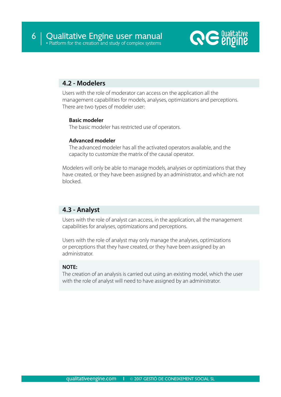

## **4.2 - Modelers**

Users with the role of moderator can access on the application all the management capabilities for models, analyses, optimizations and perceptions. There are two types of modeler user:

## **Basic modeler**

The basic modeler has restricted use of operators.

### **Advanced modeler**

The advanced modeler has all the activated operators available, and the capacity to customize the matrix of the causal operator.

Modelers will only be able to manage models, analyses or optimizations that they have created, or they have been assigned by an administrator, and which are not blocked.

## **4.3 - Analyst**

Users with the role of analyst can access, in the application, all the management capabilities for analyses, optimizations and perceptions.

Users with the role of analyst may only manage the analyses, optimizations or perceptions that they have created, or they have been assigned by an administrator.

## **NOTE:**

The creation of an analysis is carried out using an existing model, which the user with the role of analyst will need to have assigned by an administrator.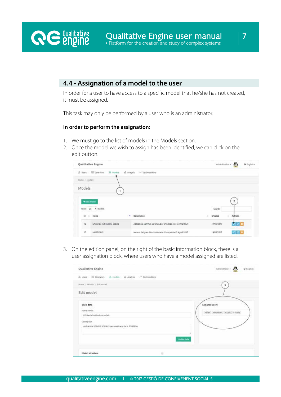## **4.4 - Assignation of a model to the user**

In order for a user to have access to a specific model that he/she has not created, it must be assigned.

This task may only be performed by a user who is an administrator.

#### **In order to perform the assignation:**

**RE** *<u>engine</u>* 

- 1. We must go to the list of models in the Models section.
- 2. Once the model we wish to assign has been identified, we can click on the edit button.

|                          | Qualitative Engine                                                 |                                                             | Administrator - PA | O English -             |
|--------------------------|--------------------------------------------------------------------|-------------------------------------------------------------|--------------------|-------------------------|
|                          | (5 Users BB Operators - 5 Models - tail Analysis - ~ Optimizations |                                                             |                    |                         |
| Rome   Models            |                                                                    |                                                             |                    |                         |
| Models                   |                                                                    |                                                             |                    |                         |
|                          |                                                                    |                                                             |                    |                         |
|                          | +new model                                                         |                                                             | Search:            | $\overline{\mathbf{2}}$ |
|                          | $Show 25$ . models.                                                |                                                             |                    |                         |
|                          | Id   Name                                                          | · Description                                               | Crested            | ×.<br>Adtigas.          |
| 12                       | Efficiência institucions socials                                   | Aplicació a SERVEIS SOCIALS per erradicació de la POBRESA   | 19/06/2017         | $ I $ a $ a $           |
| $\overline{\mathcal{U}}$ | MUSSIKALS                                                          | Mesura del grau d'exclusió social d'una població Agost 2017 | 19/08/2017         | 図画■                     |

3. On the edition panel, on the right of the basic information block, there is a user assignation block, where users who have a model assigned are listed.

| Qualitative Engine                                                                                 | Administrator +<br>@ English+ |
|----------------------------------------------------------------------------------------------------|-------------------------------|
| S Users El Operators E Models al Analysis - Optimizations                                          |                               |
| Home / Models / Edit model                                                                         | з                             |
| Edit model                                                                                         |                               |
| Basic data<br>Name model                                                                           | Assigned users                |
| Efidència institucions suciais                                                                     | «Alex »Humbert «Uus »Harta    |
| Description <sup>1</sup>                                                                           |                               |
| Aplicació a SERVEIS SOCIALS per entadicació de la POBRESA<br>2월 21일 일을 사업하였다. 동아들은 사람들에 대한 사람들의 사람 |                               |
|                                                                                                    | Update data                   |
| Model structure                                                                                    | a                             |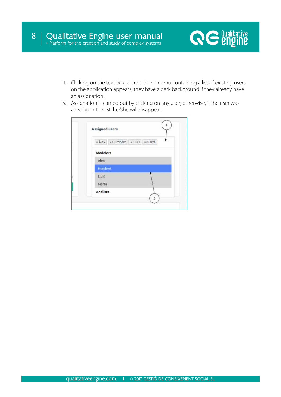

- 4. Clicking on the text box, a drop-down menu containing a list of existing users on the application appears; they have a dark background if they already have an assignation.
- 5. Assignation is carried out by clicking on any user; otherwise, if the user was already on the list, he/she will disappear.

| Assigned users                   |  |
|----------------------------------|--|
| * Ålex * Humbert * Lluís * Marta |  |
| Modelers                         |  |
| Álex                             |  |
| <b>Humbert</b>                   |  |
| Lluís                            |  |
| Marta                            |  |
| <b>Analists</b>                  |  |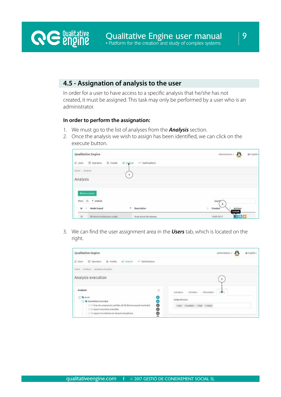## **4.5 - Assignation of analysis to the user**

In order for a user to have access to a specific analysis that he/she has not created, it must be assigned. This task may only be performed by a user who is an administrator.

#### **In order to perform the assignation:**

**RE** *<u>engine</u>* 

- 1. We must go to the list of analyses from the *Analysis* section.
- 2. Once the analysis we wish to assign has been identified, we can click on the execute button.

| Qualitative Engine                                         |                              | Administrator +<br>$\mathbf{F}$<br>O English - |
|------------------------------------------------------------|------------------------------|------------------------------------------------|
| $\frac{1}{20}$ Models<br><b>B</b> Users <b>B</b> Operators | of Antoni<br>A Optimizations |                                                |
| Home / Analysis<br>na ma                                   |                              |                                                |
| Analysis                                                   | $\mathcal{A}$                |                                                |
| +New analysis                                              |                              |                                                |
| Show 25 . analysis                                         |                              | Sean<br>$\overline{2}$                         |
| Model based<br>all i<br>M                                  | Description<br>$\bullet$     | Actions<br>Created<br>٠<br>Execute             |
| 38<br>Efficiência institucions socials                     | Estat inicial del sistema.   | <b>DOMESTICS</b><br>10/07/2017                 |

3. We can find the user assignment area in the *Users* tab, which is located on the right.

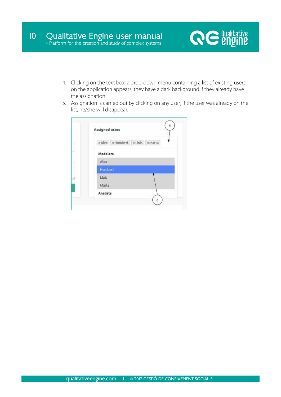

- 4. Clicking on the text box, a drop-down menu containing a list of existing users on the application appears; they have a dark background if they already have the assignation.
- 5. Assignation is carried out by clicking on any user; If the user was already on the list, he/she will disappear.

|             | Assigned users                   |  |
|-------------|----------------------------------|--|
|             | « Ålex x Humbert x Lluis x Marta |  |
| Modelers    |                                  |  |
| <b>Alex</b> |                                  |  |
| Humbert     |                                  |  |
| Lluís       |                                  |  |
| Marta       |                                  |  |
| Analists    |                                  |  |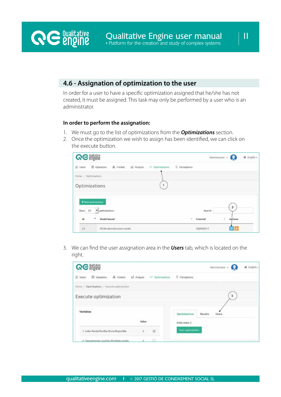## **4.6 - Assignation of optimization to the user**

In order for a user to have a specific optimization assigned that he/she has not created, it must be assigned. This task may only be performed by a user who is an administrator.

#### **In order to perform the assignation:**

**RE** *<u>engine</u>* 

- 1. We must go to the list of optimizations from the *Optimizations* section.
- 2. Once the optimization we wish to assign has been identified, we can click on the execute button.

| <b><i>RE engine</i></b>                                                            |               | Administrator -<br>@ English - |
|------------------------------------------------------------------------------------|---------------|--------------------------------|
| & Models all Analysis<br><b>BE</b> Operators<br><b>B</b> Users<br>At Optimizations | Q Perceptions |                                |
| Home / Optimizations                                                               |               |                                |
| Optimizations                                                                      |               |                                |
| + New optimization                                                                 |               | Australia                      |
| Show 25<br>optimizations                                                           | Search:       | $\mathbf{2}$                   |
| -41<br>Model based<br>1d                                                           | ۰<br>Created  | Adtions<br>۰.                  |
| 23<br>Eficiência institucions socials                                              | 28/09/2017    |                                |

3. We can find the user assignation area in the *Users* tab, which is located on the right.

| <b><i>RE theme</i></b>                       |              |                                |                    |         | Administrator + |   | @ English - |
|----------------------------------------------|--------------|--------------------------------|--------------------|---------|-----------------|---|-------------|
| & Models<br>SS Operators<br><b>B</b> Users   | tul Analysis | 24 <sup>c</sup> Optimizations  | C Perceptions      |         |                 |   |             |
| Home / Optimizations / Execute optimization  |              |                                |                    |         |                 |   |             |
| Execute optimization                         |              |                                |                    |         |                 | 3 |             |
| Variables                                    |              |                                | Optimizations      | Results | Users           |   |             |
|                                              | Value        |                                | Scotstal state:    |         |                 |   |             |
| 1- Index Renda Familiar Bruta Disponible     | $2 -$        | $\langle \mathbf{q}^2 \rangle$ | Start optimization |         |                 |   |             |
| 2- Taxa persones utuàries d'entitats socials |              |                                |                    |         |                 |   |             |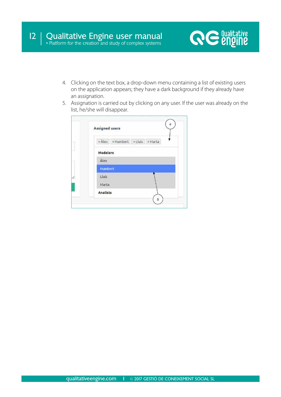

- 4. Clicking on the text box, a drop-down menu containing a list of existing users on the application appears; they have a dark background if they already have an assignation.
- 5. Assignation is carried out by clicking on any user. If the user was already on the list, he/she will disappear.

|                 | Assigned users |                                        |  |  |
|-----------------|----------------|----------------------------------------|--|--|
|                 |                | * Ålex   * Humbert   * Lluís   * Marta |  |  |
| <b>Modelers</b> |                |                                        |  |  |
| Àlex            |                |                                        |  |  |
| Humbert         |                |                                        |  |  |
| Lluís           |                |                                        |  |  |
| Marta           |                |                                        |  |  |
| Analists        |                |                                        |  |  |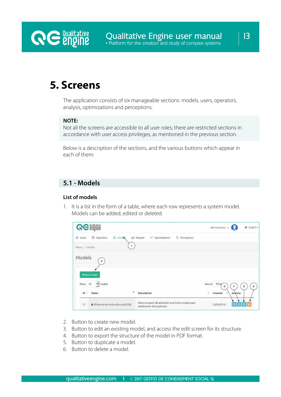

## **5. Screens**

The application consists of six manageable sections: models, users, operators, analysis, optimizations and perceptions.

## **NOTE:**

Not all the screens are accessible to all user roles; there are restricted sections in accordance with user access privileges, as mentioned in the previous section.

Below is a description of the sections, and the various buttons which appear in each of them:

## **5.1 - Models**

### **List of models**

1. It is a list in the form of a table, where each row represents a system model. Models can be added, edited or deleted.

| <b>QG anging</b>                          |                                        |                                  |                                                        | Administrator $+$              | G English .  |
|-------------------------------------------|----------------------------------------|----------------------------------|--------------------------------------------------------|--------------------------------|--------------|
| <sup>2</sup> Users<br><b>BB</b> Operators | & Models                               | tell Analysis<br>~ Optimizations | Q Perceptions                                          |                                |              |
| Home:/ Models                             | $\mathbf{1}$                           |                                  |                                                        |                                |              |
| Models<br>$\overline{2}$                  |                                        |                                  |                                                        |                                |              |
| $+$ New model<br>models<br>Show 25        |                                        |                                  |                                                        | Search: Eficie<br>$\mathbf{3}$ | g.<br>5<br>A |
| はき<br>Name                                | ۸                                      | Description                      |                                                        | ÷<br>Created                   | Actions      |
| 57.                                       | Eficiencia de Institución social (ES): | erradicación de la pobreza.      | Sistema expert de aplicación a servicios sociales para | 23/05/2018                     |              |

- 2. Button to create new model.
- 3. Button to edit an existing model, and access the edit screen for its structure.
- 4. Button to export the structure of the model in PDF format.
- 5. Button to duplicate a model.
- 6. Button to delete a model.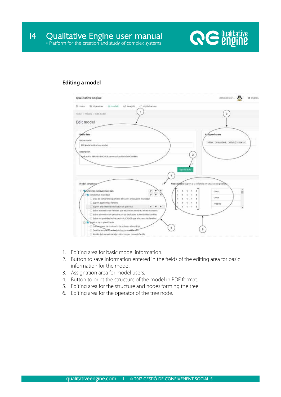

#### **Editing a model**



- 1. Editing area for basic model information.
- 2. Button to save information entered in the fields of the editing area for basic information for the model.
- 3. Assignation area for model users.
- 4. Button to print the structure of the model in PDF format.
- 5. Editing area for the structure and nodes forming the tree.
- 6. Editing area for the operator of the tree node.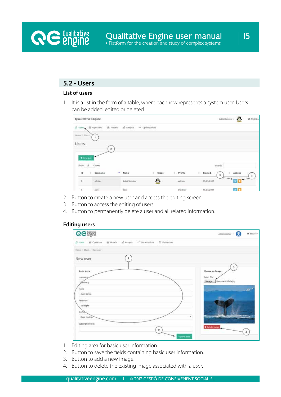## **5.2 - Users**

**RE** *<u>engine</u>* 

## **List of users**

1. It is a list in the form of a table, where each row represents a system user. Users can be added, edited or deleted.

| Qualitative Engine            |                                |                           |                  |              |                  | $\mathbf{F}$<br>Administrator + | $Q$ English $\sim$ |
|-------------------------------|--------------------------------|---------------------------|------------------|--------------|------------------|---------------------------------|--------------------|
| $\Box$ Users $\Box$ Operators |                                | & Models<br>tal Analysis. | or optimizations |              |                  |                                 |                    |
| Home / thers                  | ۲                              |                           |                  |              |                  |                                 |                    |
| Users                         |                                | $2 -$                     |                  |              |                  |                                 |                    |
| $+$ New span.                 |                                |                           |                  |              |                  |                                 |                    |
| Show<br>25                    | <i>uses</i><br>$\mathcal{F}_1$ |                           |                  |              | Search           |                                 |                    |
| 陆                             | Username                       | $A$ Name                  | ×<br>Inope       | Profile<br>٠ | $ $ Crosted<br>3 | Actions                         |                    |
| $\sim$                        | admin.                         | Administrator             | m                | Admin        | 21/05/2017       |                                 |                    |
| ÷                             | alex.                          | hier                      |                  | Modelet      | 14/07/2017       | $\alpha$ in                     |                    |

- 2. Button to create a new user and access the editing screen.
- 3. Button to access the editing of users.
- 4. Button to permanently delete a user and all related information.

#### **Editing users**

| <b>GG 網網</b>                                                                                                                                                             | O Ergish-<br>Administrator +                                                                             |
|--------------------------------------------------------------------------------------------------------------------------------------------------------------------------|----------------------------------------------------------------------------------------------------------|
| (5 Units - 35 Operators - 45 Models - 65 Analysis - A Optimizations - 57 Perceptions                                                                                     |                                                                                                          |
| Hone / Ques / New con-                                                                                                                                                   |                                                                                                          |
| New user                                                                                                                                                                 |                                                                                                          |
| <b>Basic data</b><br>Username,<br>genberry<br>Name<br>Jaen Cende<br>Pátivott<br>1phosph<br>Profile<br>Besic Modeler<br>Subscription until<br>$\mathbf{2}$<br>Update data | з<br>Choose an image<br>Select File<br>Humpback Whele Jog<br><b>Navege</b><br>۰<br><b>O</b> Delete Image |

- 1. Editing area for basic user information.
- 2. Button to save the fields containing basic user information.
- 3. Button to add a new image.
- 4. Button to delete the existing image associated with a user.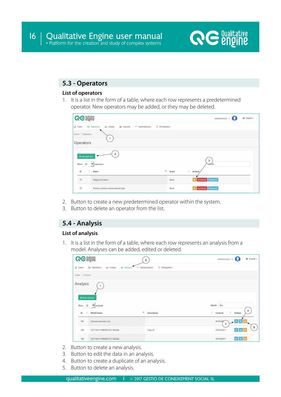

## **5.3 - Operators**

## **List of operators**

1. It is a list in the form of a table, where each row represents a predetermined operator. New operators may be added, or they may be deleted.

| <b>QG</b> angine                          |                                                                   |               | Administrator - O                                | O Ingish- |
|-------------------------------------------|-------------------------------------------------------------------|---------------|--------------------------------------------------|-----------|
| S Uves                                    | sizuk is:<br><b>SS</b> Operators<br>si Models<br>M. Optimizations | C Perceptions |                                                  |           |
| Hyne / Operation                          |                                                                   |               |                                                  |           |
| Operators                                 |                                                                   |               |                                                  |           |
| $+$ Add uperator<br>$5\text{low}$ 25<br>慧 | 2<br>v operators<br>Name:                                         | ۸<br>State:   | $\mathbf{3}$<br><b>Settlett</b><br>ä.<br>Actions |           |
| 担心                                        | <b>Hegativo Inverso</b>                                           | Beild.        | Inectivity Advanced                              |           |
| 72                                        | Positivo cirecto indeterminado bajo                               | Besic.        | loctiote Atenoni                                 |           |

- 2. Button to create a new predetermined operator within the system.
- 3. Button to delete an operator from the list.

## **5.4 - Analysis**

## **List of analysis**

1. It is a list in the form of a table, where each row represents an analysis from a model. Analyses can be added, edited or deleted.

| GG纖纖                                                          | $\mathbf{2}$                                  | Administrator .<br>O English -<br>I G                |
|---------------------------------------------------------------|-----------------------------------------------|------------------------------------------------------|
| Ull Operators<br>di Modela<br>Analysis<br><b>J</b> Users<br>运 | C Perceptions<br>Optimizations<br>$\sim 10^6$ |                                                      |
| Hime / Antists                                                |                                               |                                                      |
| Analysis<br>+ hew metyon.<br>$^{25}$<br>· analysis<br>Show    |                                               | Search.<br><b>Ext</b>                                |
| Model based<br>×<br>14                                        | ۰<br>Description                              | ¥<br>Created<br>٠<br>Actions                         |
| Exclusio economic oct<br>504                                  |                                               | $\sim$ $\alpha$ $\approx$<br>04/10/29<br>$\mathbf 3$ |
| CAR PERMIT AND PLAN AT A<br>109<br>OCT NOU FORMAL EXC SOCIAL  | Copy of:                                      | 5<br><b>u</b> e u<br>02/10/2017                      |
|                                                               |                                               |                                                      |

- 2. Button to create a new analysis.
- 3. Button to edit the data in an analysis.
- 4. Button to create a duplicate of an analysis.
- 5. Button to delete an analysis.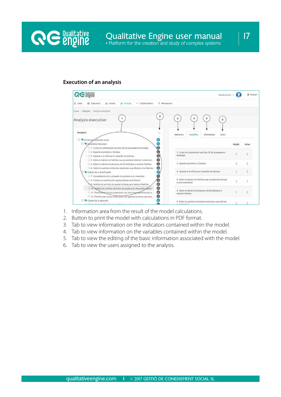

#### **Execution of an analysis**



- 1. Information area from the result of the model calculations.
- 2. Button to print the model with calculations in PDF format.
- 3. Tab to view information on the indicators contained within the model.
- 4. Tab to view information on the variables contained within the model.
- 5. Tab to view the editing of the basic information associated with the model.
- 6. Tab to view the users assigned to the analysis.

17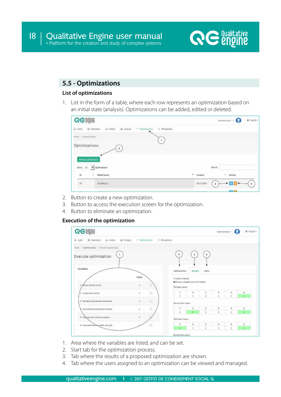

## **5.5 - Optimizations**

## **List of optimizations**

1. List in the form of a table, where each row represents an optimization based on an initial state (analysis). Optimizations can be added, edited or deleted.

| <b>QG 講義</b>                                                                              |                                              |           |            | Administrator . O  | O English - |
|-------------------------------------------------------------------------------------------|----------------------------------------------|-----------|------------|--------------------|-------------|
| 88 Operators<br>al Antisis<br>do stocels<br>ZJ-Users                                      | V Perceptions<br>$\rightarrow$ Optimizations |           |            |                    |             |
| Home / Optimizations                                                                      | $\mathbf{1}$                                 |           |            |                    |             |
| Optimizations<br>$\bar{z}$<br>+ New optimization                                          |                                              |           |            |                    |             |
| Show 15 7 optimizations                                                                   |                                              |           |            | Search             |             |
| Model based<br>M<br>٠                                                                     |                                              | * Created |            | Actions            |             |
| <b>Internet</b><br>$\begin{array}{c} \mathbf{15} \\ \mathbf{27} \end{array}$<br>NUSSICALS |                                              |           | 20/11/2017 | <b>PERTH</b><br>з  |             |
|                                                                                           |                                              |           |            | <b>COMME STATE</b> |             |

- 2. Button to create a new optimization.
- 3. Button to access the execution screen for the optimization.
- 4. Button to eliminate an optimization.

### **Execution of the optimization**

| <b>GG 講話</b>                                |                                 |                                                                               |                |                  |                      | Administrator - | O Inglan- |
|---------------------------------------------|---------------------------------|-------------------------------------------------------------------------------|----------------|------------------|----------------------|-----------------|-----------|
| AL: Models<br>(S Users<br>10 Operators      | al Analysis<br>At Optimizations | Perceptions                                                                   |                |                  |                      |                 |           |
| Home / Optimizations / Evenite optimization |                                 |                                                                               |                |                  |                      |                 |           |
| Execute optimization                        |                                 | $\overline{2}$                                                                | $\overline{a}$ | $\sim$           |                      |                 |           |
| Variables                                   |                                 | Optimizations                                                                 | Results        | Users.           |                      |                 |           |
| 1- Avecia Familiar bruta                    | Value<br>ø                      | 3 results founded.<br>@ Process stopped and not finished.<br>The best result: |                |                  |                      |                 |           |
| 2- Usuaris ent socials                      | $\Box$<br>x                     | ٠<br>¥                                                                        | a              | $\frac{1}{4}$ ). | $\frac{1}{2}$        | $\frac{3}{3}$   | ٠         |
| 3- Percepcio preceriebit economica          | $\Box$<br>ż                     | Second best results                                                           |                |                  |                      |                 |           |
| - Taxa Persones ateses ent socials          | g<br>÷.                         |                                                                               | ż              | $\mathfrak I$    | 4                    | 5               |           |
|                                             |                                 | ä.                                                                            | ٠              | $\mathbf{r}$     | ä                    | $\mathbf{1}$    |           |
|                                             | ъ                               |                                                                               |                |                  |                      |                 |           |
| 5- Taxx perones cobner prestacio            |                                 | Third best result:                                                            |                |                  |                      |                 |           |
| 6- Taxa persones ha cobren cep ajut         | ū                               | s                                                                             | z              | 5                | $\ddot{\phantom{a}}$ | \$              |           |

- 1. Area where the variables are listed, and can be set.
- 2. Start tab for the optimization process.
- 3. Tab where the results of a proposed optimization are shown.
- 4. Tab where the users assigned to an optimization can be viewed and managed.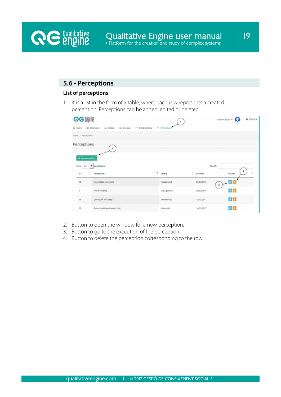## **5.6 - Perceptions**

### **List of perceptions**

**RE** *<u>Qualitative</u>* 

1. It is a list in the form of a table, where each row represents a created perception. Perceptions can be added, edited or deleted.

| <b>GG Signe</b>                                  |                                                                |                 |                                              |                                  | $\omega$<br>@ English+<br>Administrator . |
|--------------------------------------------------|----------------------------------------------------------------|-----------------|----------------------------------------------|----------------------------------|-------------------------------------------|
| IS Users                                         | de Hodels<br>68 Operators<br>bill Analysis<br>nº Optimizations | V Perceptions   |                                              |                                  |                                           |
| Home / Ferceptions                               |                                                                |                 |                                              |                                  |                                           |
| Perceptions                                      | $\mathbf{2}$                                                   |                 |                                              |                                  |                                           |
| + New berceation<br>Show.<br>25<br>$\frac{1}{2}$ | perceptions<br>Description                                     | w<br>٠<br>Quety |                                              | ь.<br>Created                    | Search:<br>Actions                        |
| $\mathcal{H}$                                    | Impegunded chadedaha                                           |                 | Inseguridad                                  | 25/03/2018                       | $\alpha$ $\alpha$<br>3.                   |
| x                                                | Prova de cenca                                                 |                 | suge general.                                | 29/05/2018                       | ※■                                        |
| $\mathfrak{g}_4$                                 | Quality of life Josep                                          |                 | unoretainty                                  | 15/12/2017                       | $x$ a                                     |
| n.<br>$\mathfrak{r}$<br>22                       | Secure social environment test.                                |                 | <b>VACCORD</b><br><b>IRDEOUTRY</b><br>------ | <b>SAUDI DE LO</b><br>14/12/2017 | or a                                      |

- 2. Button to open the window for a new perception.
- 3. Button to go to the execution of the perception.
- 4. Button to delete the perception corresponding to the row.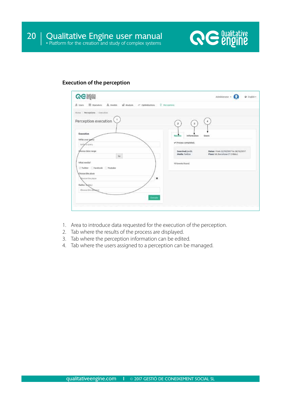

#### **Execution of the perception**

| <b>GG many</b>                                                 | O English -<br>Administrator =                                                                                |
|----------------------------------------------------------------|---------------------------------------------------------------------------------------------------------------|
| B. Users 图 Operators 品 Models<br>tel Analysis of Optimizations | C Perceptions                                                                                                 |
| Home Perceptions / Execution                                   |                                                                                                               |
| Perception execution                                           | $\tilde{a}$<br>$\scriptstyle{3}$<br>$\mathbf{2}^{\prime}$                                                     |
| Execution<br>write your gamy                                   | Results<br><b>Information</b><br><b>Users</b><br>Process completed.                                           |
| With a query<br>phoose date range<br>tp                        | Searched: jordis<br>Dates: From 22/10/2017 to 24/10/2017<br>Media: Twitter<br>Place: Vic Barcelona CT (10km.) |
| Villat medial<br>Twitter Facebook Youtube                      | 10 tweets found.                                                                                              |
| Choose the place<br>Moose the place<br>Radius (Manu)           | ×                                                                                                             |
| Choose the disease<br>Evropie                                  |                                                                                                               |
|                                                                |                                                                                                               |

- 1. Area to introduce data requested for the execution of the perception.
- 2. Tab where the results of the process are displayed.
- 3. Tab where the perception information can be edited.
- 4. Tab where the users assigned to a perception can be managed.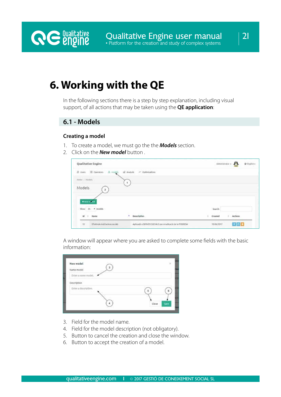## **6. Working with the QE**

In the following sections there is a step by step explanation, including visual support, of all actions that may be taken using the **QE application**:

## **6.1 - Models**

**RE** *<u>engine</u>* 

#### **Creating a model**

- 1. To create a model, we must go the the *Models* section.
- 2. Click on the *New model* button .

| Qualitative Engine                                    |                                                            |         | Administrator - 2 | @ English + |
|-------------------------------------------------------|------------------------------------------------------------|---------|-------------------|-------------|
| $B$ uses<br>$\boxtimes$ Operators $\quad$ $\&$ models | tel Analysk<br>$\sim$ Optimizations<br>1,000,000,000,000   |         |                   |             |
| <b>COURTHY INTO</b><br>Home / Modeli                  |                                                            |         |                   |             |
| Models<br>$\mathfrak{p}$                              |                                                            |         |                   |             |
| + New It's<br>Show 25 . models                        |                                                            | Search: |                   |             |
| $M$ $=$<br>Name                                       | <b>STATISTICS</b><br>The County<br>٠<br><b>Description</b> | Created | Actions           |             |
|                                                       |                                                            |         |                   |             |

A window will appear where you are asked to complete some fields with the basic information:

| New model<br>Name model                     | 38            |
|---------------------------------------------|---------------|
| <b>In Wallenberg</b><br>Enter a name model. |               |
|                                             |               |
| Description                                 |               |
| Enter a description.                        | л             |
|                                             |               |
|                                             | Close<br>Save |

- 3. Field for the model name.
- 4. Field for the model description (not obligatory).
- 5. Button to cancel the creation and close the window.
- 6. Button to accept the creation of a model.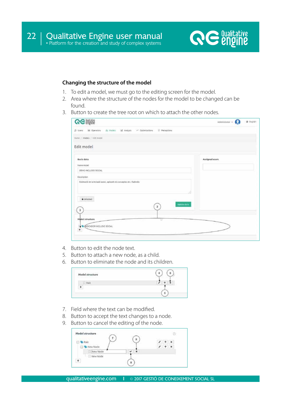

### **Changing the structure of the model**

- 1. To edit a model, we must go to the editing screen for the model.
- 2. Area where the structure of the nodes for the model to be changed can be found.
- 3. Button to create the tree root on which to attach the other nodes.

| <b>GG鹽脂</b>                                                                    | Administrator<br>O trollh- |
|--------------------------------------------------------------------------------|----------------------------|
| Mi Operators di Models al Analysis ~ Optimizations<br>C Perceptions<br>B Users |                            |
| Hume / Models / Lot midel.                                                     |                            |
| Edit model                                                                     |                            |
| Basic data<br>Name model                                                       | Assigned users             |
| DENO INCLUSIO SOCIAL                                                           |                            |
| Description.                                                                   |                            |
| Estimació de la inclusió social, aplicant els conceptes de J Subirats          |                            |
| & Uniocked<br><b>Update</b> data<br>$\,$ 2 $\,$                                |                            |
| з                                                                              |                            |
| Medel structure<br>÷<br><b>WA ANDICADOR RICLUSO SOCIAL</b>                     |                            |

- 4. Button to edit the node text.
- 5. Button to attach a new node, as a child.
- 6. Button to eliminate the node and its children.



- 7. Field where the text can be modified.
- 8. Button to accept the text changes to a node.
- 9. Button to cancel the editing of the node.

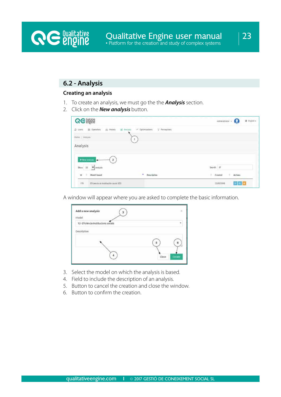23

## **6.2 - Analysis**

**RE** *<u>Qualitative</u>* 

#### **Creating an analysis**

- 1. To create an analysis, we must go the the *Analysis* section.
- 2. Click on the *New analysis* button.

| <b>GG WOWE</b>                                                                       |                                                       | O English -<br>Administrator -<br>Ω |
|--------------------------------------------------------------------------------------|-------------------------------------------------------|-------------------------------------|
| <b>SH</b> Operators<br>25 Models<br><b>B</b> Users                                   | $\sim$ Optimizations<br>all Analysis<br>V Peringtions |                                     |
| Hime / Analysis                                                                      | $\alpha$                                              |                                     |
| Analysis                                                                             |                                                       |                                     |
|                                                                                      |                                                       |                                     |
| $+$ Hew analysis<br>$\mathbf{2}$<br>⊶<br>$20$ cu $25$ $\blacktriangleright$ analysis |                                                       | Search: EF                          |

A window will appear where you are asked to complete the basic information.

| Add a new analysis<br>Model        | ×               |
|------------------------------------|-----------------|
| 12-Eficiência institucions socials |                 |
| Description                        |                 |
|                                    |                 |
|                                    |                 |
|                                    | Close<br>Create |

- 3. Select the model on which the analysis is based.
- 4. Field to include the description of an analysis.
- 5. Button to cancel the creation and close the window.
- 6. Button to confirm the creation.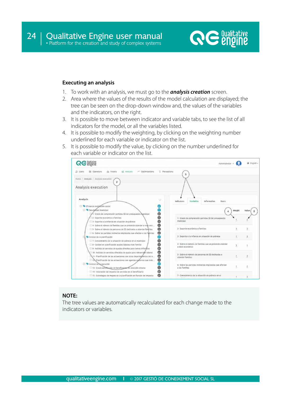

#### **Executing an analysis**

- 1. To work with an analysis, we must go to the *analysis creation* screen.
- 2. Area where the values of the results of the model calculation are displayed; the tree can be seen on the drop-down window and, the values of the variables and the indicators, on the right.
- 3. It is possible to move between indicator and variable tabs, to see the list of all indicators for the model, or all the variables listed.
- 4. It is possible to modify the weighting, by clicking on the weighting number underlined for each variable or indicator on the list.
- 5. It is possible to modify the value, by clicking on the number underlined for each variable or indicator on the list.



## **NOTE:**

The tree values are automatically recalculated for each change made to the indicators or variables.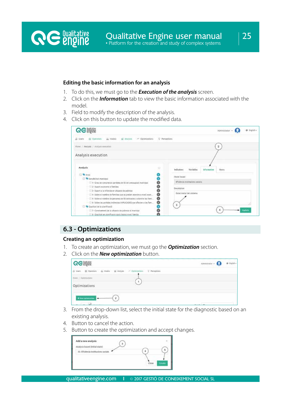#### **Editing the basic information for an analysis**

**RE** *<u>engine</u>* 

- 1. To do this, we must go to the *Execution of the analysis* screen.
- 2. Click on the *Information* tab to view the basic information associated with the model.
- 3. Field to modify the description of the analysis.
- 4. Click on this button to update the modified data.

| <b>GG 講談</b>                                                                    | O Engilsh-<br>Administrator +                                                     |
|---------------------------------------------------------------------------------|-----------------------------------------------------------------------------------|
| Kir. Gowrators<br>in Models<br>nedaw lie<br>M. Optimizations<br><b>IL Users</b> | <sup>Q</sup> Parcentions                                                          |
| Home   Aralysis   Anziysis execution                                            | 2                                                                                 |
| Analysis execution                                                              |                                                                                   |
| Analysis<br>u                                                                   | $10 - 10$<br><b>Indicators</b><br>Variables<br><b>Information</b><br><b>Users</b> |
| <b>El W</b> Artel                                                               | <b>Monet hasad</b>                                                                |
| 。。。。。。<br>Sensibilität marktoat                                                 |                                                                                   |
| 1-1 1- Grau de comprensio partides de 55 dei pressupost municipal               | Eñolinoa institucions sociala                                                     |
| 2 3- Suport economic a families                                                 | Description.                                                                      |
| 3- Suport a la infancia en situacio de pobresa                                  | futet inicial del sistema.                                                        |
| o<br>E 4- Sobre el nombre de families que es preben atendre a mivell econ       |                                                                                   |
| ◉<br>1 5- Sobre ei nombre de persones de SS decicades a abendre les fants       |                                                                                   |
| ଡ<br>El 6- Sobre les partides indirectes IMPLICADES que afecten a les fam       | з.                                                                                |
| Ouelitat de la planificació                                                     |                                                                                   |
| T. 7- Consivement de la situacio de pobresa el municipi                         | <b>Aladolis</b>                                                                   |
| D. & Qualitat en planificacio asists basics nivell familia                      |                                                                                   |

## **6.3 - Optimizations**

## **Creating an optimization**

- 1. To create an optimization, we must go the *Optimization* section.
- 2. Click on the *New optimization* button.

| <b>QG</b> engine                                                        | $A$ centrator - $\Omega$<br>o trois. |
|-------------------------------------------------------------------------|--------------------------------------|
| [3 then 85 Operators de Models del Analysis - Contemporar 0 Perceptions |                                      |
| Himi / Optimistans                                                      |                                      |
| Optimizations                                                           |                                      |
|                                                                         |                                      |
| + have optimization and                                                 |                                      |

- 3. From the drop-down list, select the initial state for the diagnostic based on an existing analysis.
- 4. Button to cancel the action.
- 5. Button to create the optimization and accept changes.

| Add a new analysis<br>nalysis based (initial sta |  |  |
|--------------------------------------------------|--|--|
| Eficiência institucio                            |  |  |
| the company of the company of the                |  |  |
|                                                  |  |  |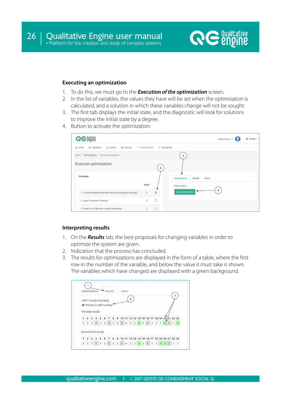

#### **Executing an optimization**

- 1. To do this, we must go to the *Execution of the optimization* screen.
- 2. In the list of variables, the values they have will be set when the optimization is calculated, and a solution in which these variables change will not be sought.
- 3. The first tab displays the initial state, and the diagnostic will look for solutions to improve the initial state by a degree.
- 4. Button to activate the optimization.

| <b>QG</b> enging                                                          |       |              | O English -                        |
|---------------------------------------------------------------------------|-------|--------------|------------------------------------|
| 3 Users 85 Operation 35 Models 36 Analysis of Optimizations Q Perceptions |       |              |                                    |
| Hene / Optimizations / Descute optimization                               |       |              | 3                                  |
| Execute optimization                                                      |       | $\mathbf{2}$ |                                    |
| Variables                                                                 |       |              | Users<br>Outlinizations<br>Results |
|                                                                           | Value |              | Initial state 2                    |
| 1- Grau de comprensió partides de 55 del pressupost manicipal.            | ¢.    | ø            | Start escimization                 |
| 2- Suport econòmic a families                                             | ä.    | G            |                                    |
| 3- Suport a la infância en situació de pobresa                            | z.    | G            |                                    |

#### **Interpreting results**

- 1. On the *Results* tab, the best proposals for changing variables in order to optimize the system are given.
- 2. Indication that the process has concluded.
- 3. The results for optimizations are displayed in the form of a table, where the first row in the number of the variable, and below the value it must take is shown. The variables which have changed are displayed with a green background.

|  |                     |  | 14917 results founded. |                             |  |                                                             |  |  |  |  |  |  |  |
|--|---------------------|--|------------------------|-----------------------------|--|-------------------------------------------------------------|--|--|--|--|--|--|--|
|  |                     |  |                        |                             |  |                                                             |  |  |  |  |  |  |  |
|  |                     |  |                        | O Process is still running. |  |                                                             |  |  |  |  |  |  |  |
|  |                     |  |                        |                             |  |                                                             |  |  |  |  |  |  |  |
|  | The best result:    |  |                        |                             |  |                                                             |  |  |  |  |  |  |  |
|  |                     |  |                        |                             |  | 1 2 3 4 5 6 7 8 9 10 11 12 13 14 15 16 17 18 19 20 21 22 23 |  |  |  |  |  |  |  |
|  |                     |  |                        |                             |  | 2 3 3 1 3 2 2 2 2 2 4 3 2 3 2 2 3 3 1 3 2 1 3               |  |  |  |  |  |  |  |
|  |                     |  |                        |                             |  |                                                             |  |  |  |  |  |  |  |
|  |                     |  |                        |                             |  |                                                             |  |  |  |  |  |  |  |
|  | Second best result: |  |                        |                             |  |                                                             |  |  |  |  |  |  |  |
|  |                     |  |                        |                             |  | 1 2 3 4 5 6 7 8 9 10 11 12 13 14 15 16 17 18 19 20 21 22 23 |  |  |  |  |  |  |  |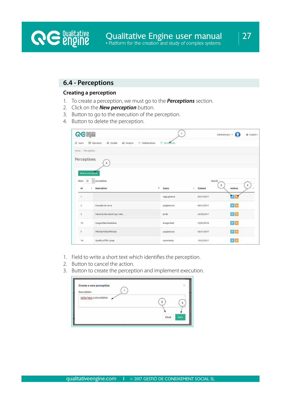## **6.4 - Perceptions**

**RE** *<u>Qualitative</u>* 

#### **Creating a perception**

- 1. To create a perception, we must go to the *Perceptions* section.
- 2. Click on the *New perception* button.
- 3. Button to go to the execution of the perception.
- 4. Button to delete the perception.

| <b>GG纖麗</b>                   |                                                                      | 1                  |            | G<br>Administrator +      | $Q$ English - |
|-------------------------------|----------------------------------------------------------------------|--------------------|------------|---------------------------|---------------|
| IS Users                      | <b>出 Models</b><br>tell Analysis<br>Ell Operators<br>/ Optimizations | Q - Percections    |            |                           |               |
| Hene Perceptions              |                                                                      |                    |            |                           |               |
| <b>Perceptions</b>            | $\mathbf{2}^-$                                                       |                    |            |                           |               |
|                               |                                                                      |                    |            |                           |               |
| + New perception<br>Show $25$ | $\vee$ perceptions.                                                  |                    |            | Search:                   |               |
| 16                            | ٠<br>Description                                                     | Query              | Created    | $\mathfrak{A}$<br>Actions | $\mathbf{4}$  |
| $\mathcal{I}_\mu$             |                                                                      | vaga general       | 03/11/2017 |                           |               |
| ់3                            | Exemple de cerca                                                     | pulgdemont         | 02/11/2017 | $\alpha$ is:              |               |
| $\cdot$ 2                     | Farem la descripció i poc més.                                       | jordis             | 24/10/2017 | $\alpha$ a                |               |
| 16                            | Inseguridad cludadana                                                | <b>Inseguridad</b> | 25/03/2018 | <b>GK</b> III             |               |
| $\overline{s}$                | PROVA FEINA PREMIA                                                   | puigdemont         | 05/11/2017 | 区景                        |               |
| 14                            | Quality of life Josep                                                | uncertainty        | 15/12/2017 | $\mathbf{z}$ a            |               |

- 1. Field to write a short text which identifies the perception.
- 2. Button to cancel the action.
- 3. Button to create the perception and implement execution.

| Create a new perception  |               |
|--------------------------|---------------|
| Description              |               |
| Write here a description |               |
|                          |               |
|                          |               |
|                          | Close<br>Save |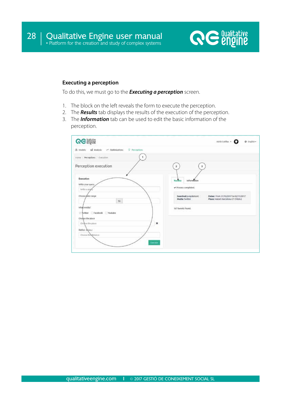

#### **Executing a perception**

To do this, we must go to the *Executing a perception* screen.

- 1. The block on the left reveals the form to execute the perception.
- 2. The *Results* tab displays the results of the execution of the perception.
- 3. The *Information* tab can be used to edit the basic information of the perception.

| <b>GG Signe</b>                                                           | $A\ddot{a}$ and $A$ and $A$ and $A$ and $A$<br>@ English -                                                                                                                   |
|---------------------------------------------------------------------------|------------------------------------------------------------------------------------------------------------------------------------------------------------------------------|
| <sup>Q</sup> Perceptions<br>& Models: all Analysis : > Optimizations      |                                                                                                                                                                              |
| Home / Perceptions / Execution.                                           |                                                                                                                                                                              |
| Perception execution                                                      | $\mathfrak{F}$<br>$2\,$                                                                                                                                                      |
| Execution<br>With your query<br>willer a good<br>Choose pate range<br>to. | Results<br><b>Information</b><br>Process completed.<br>Searched: puigdemont<br>Dabsis: From 31/10/2017 to 02/11/2017<br>Media: Twitter<br>Place: Mataró Barcelona CT (10km.) |
| what media?<br>Finitter Facebook Youtube                                  | 167 tweets found.                                                                                                                                                            |
| Choose the place<br>×<br>Chowan the place                                 |                                                                                                                                                                              |
| Radius (Akro)<br>Choose the distance<br>Execute                           |                                                                                                                                                                              |